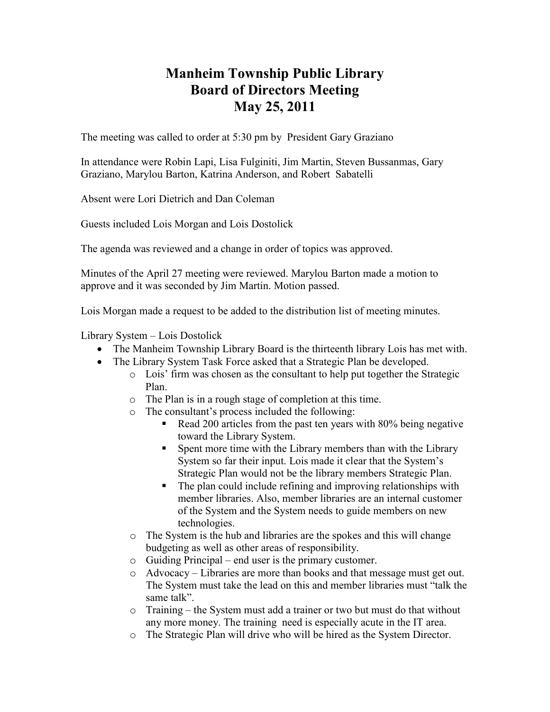## **Manheim Township Public Library Board of Directors Meeting May 25, 2011**

The meeting was called to order at 5:30 pm by President Gary Graziano

In attendance were Robin Lapi, Lisa Fulginiti, Jim Martin, Steven Bussanmas, Gary Graziano, Marylou Barton, Katrina Anderson, and Robert Sabatelli

Absent were Lori Dietrich and Dan Coleman

Guests included Lois Morgan and Lois Dostolick

The agenda was reviewed and a change in order of topics was approved.

Minutes of the April 27 meeting were reviewed. Marylou Barton made a motion to approve and it was seconded by Jim Martin. Motion passed.

Lois Morgan made a request to be added to the distribution list of meeting minutes.

Library System – Lois Dostolick

- The Manheim Township Library Board is the thirteenth library Lois has met with.
- The Library System Task Force asked that a Strategic Plan be developed.
	- o Lois' firm was chosen as the consultant to help put together the Strategic Plan.
	- o The Plan is in a rough stage of completion at this time.
	- o The consultant's process included the following:
		- Read 200 articles from the past ten years with 80% being negative toward the Library System.
		- § Spent more time with the Library members than with the Library System so far their input. Lois made it clear that the System's Strategic Plan would not be the library members Strategic Plan.
		- The plan could include refining and improving relationships with member libraries. Also, member libraries are an internal customer of the System and the System needs to guide members on new technologies.
	- o The System is the hub and libraries are the spokes and this will change budgeting as well as other areas of responsibility.
	- o Guiding Principal end user is the primary customer.
	- o Advocacy Libraries are more than books and that message must get out. The System must take the lead on this and member libraries must "talk the same talk".
	- o Training the System must add a trainer or two but must do that without any more money. The training need is especially acute in the IT area.
	- o The Strategic Plan will drive who will be hired as the System Director.